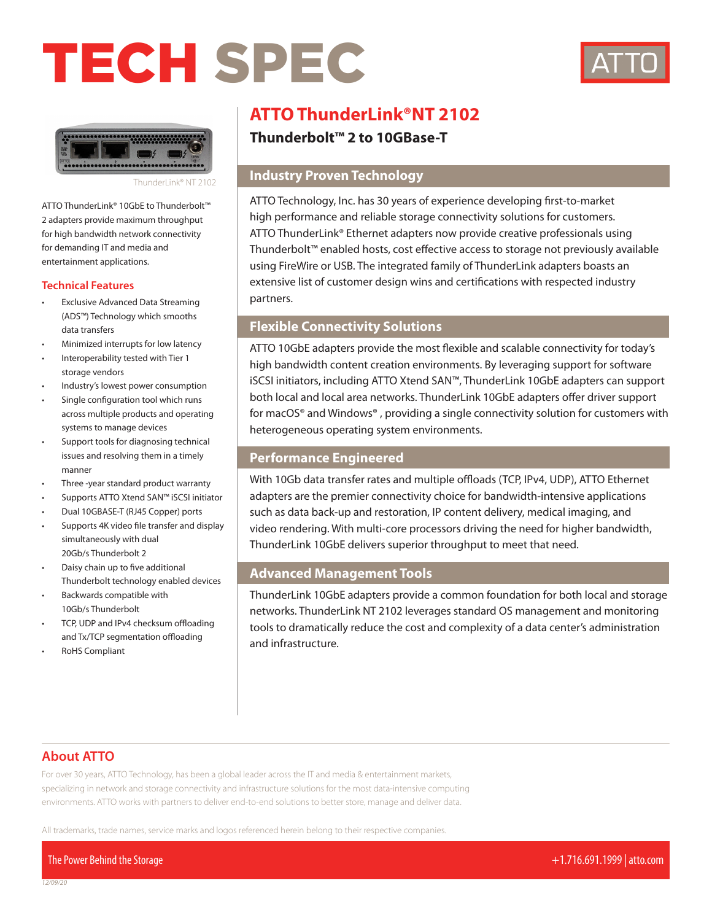# TECH SPEC





#### ThunderLink® NT 2102

ATTO ThunderLink® 10GbE to Thunderbolt™ 2 adapters provide maximum throughput for high bandwidth network connectivity for demanding IT and media and entertainment applications.

#### **Technical Features**

- **Exclusive Advanced Data Streaming** (ADS™) Technology which smooths data transfers
- Minimized interrupts for low latency
- Interoperability tested with Tier 1 storage vendors
- Industry's lowest power consumption
- Single configuration tool which runs across multiple products and operating systems to manage devices
- Support tools for diagnosing technical issues and resolving them in a timely manner
- Three -year standard product warranty
- Supports ATTO Xtend SAN™ iSCSI initiator
- Dual 10GBASE-T (RJ45 Copper) ports
- Supports 4K video file transfer and display simultaneously with dual 20Gb/s Thunderbolt 2
- Daisy chain up to five additional Thunderbolt technology enabled devices
- Backwards compatible with 10Gb/s Thunderbolt
- TCP, UDP and IPv4 checksum offloading and Tx/TCP segmentation offloading
- RoHS Compliant

# **ATTO ThunderLink®NT 2102**

# **Thunderbolt™ 2 to 10GBase-T**

# **Industry Proven Technology**

ATTO Technology, Inc. has 30 years of experience developing first-to-market high performance and reliable storage connectivity solutions for customers. ATTO ThunderLink® Ethernet adapters now provide creative professionals using Thunderbolt™ enabled hosts, cost effective access to storage not previously available using FireWire or USB. The integrated family of ThunderLink adapters boasts an extensive list of customer design wins and certifications with respected industry partners.

# **Flexible Connectivity Solutions**

ATTO 10GbE adapters provide the most flexible and scalable connectivity for today's high bandwidth content creation environments. By leveraging support for software iSCSI initiators, including ATTO Xtend SAN™, ThunderLink 10GbE adapters can support both local and local area networks. ThunderLink 10GbE adapters offer driver support for macOS® and Windows® , providing a single connectivity solution for customers with heterogeneous operating system environments.

### **Performance Engineered**

With 10Gb data transfer rates and multiple offloads (TCP, IPv4, UDP), ATTO Ethernet adapters are the premier connectivity choice for bandwidth-intensive applications such as data back-up and restoration, IP content delivery, medical imaging, and video rendering. With multi-core processors driving the need for higher bandwidth, ThunderLink 10GbE delivers superior throughput to meet that need.

## **Advanced Management Tools**

ThunderLink 10GbE adapters provide a common foundation for both local and storage networks. ThunderLink NT 2102 leverages standard OS management and monitoring tools to dramatically reduce the cost and complexity of a data center's administration and infrastructure.

# **About ATTO**

For over 30 years, ATTO Technology, has been a global leader across the IT and media & entertainment markets, specializing in network and storage connectivity and infrastructure solutions for the most data-intensive computing environments. ATTO works with partners to deliver end-to-end solutions to better store, manage and deliver data.

All trademarks, trade names, service marks and logos referenced herein belong to their respective companies.

The Power Behind the Storage +1.716.691.1999 | atto.com